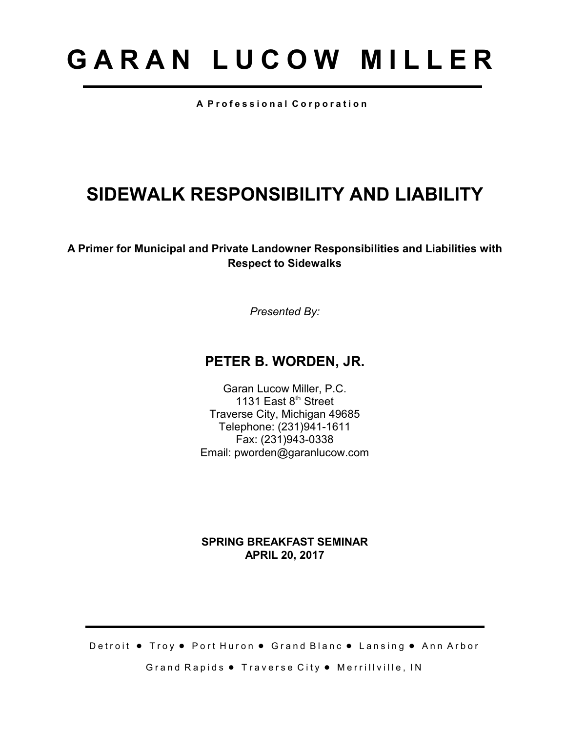# **G A R A N L U C O W M I L L E R**

**A P r o f e s s i o n a l C o r p o r a t i o n**

# **SIDEWALK RESPONSIBILITY AND LIABILITY**

**A Primer for Municipal and Private Landowner Responsibilities and Liabilities with Respect to Sidewalks**

*Presented By:*

# **PETER B. WORDEN, JR.**

Garan Lucow Miller, P.C. 1131 East 8<sup>th</sup> Street Traverse City, Michigan 49685 Telephone: (231)941-1611 Fax: (231)943-0338 Email: pworden@garanlucow.com

#### **SPRING BREAKFAST SEMINAR APRIL 20, 2017**

Detroit . Troy . Port Huron . Grand Blanc . Lansing . Ann Arbor Grand Rapids . Traverse City . Merrillville, IN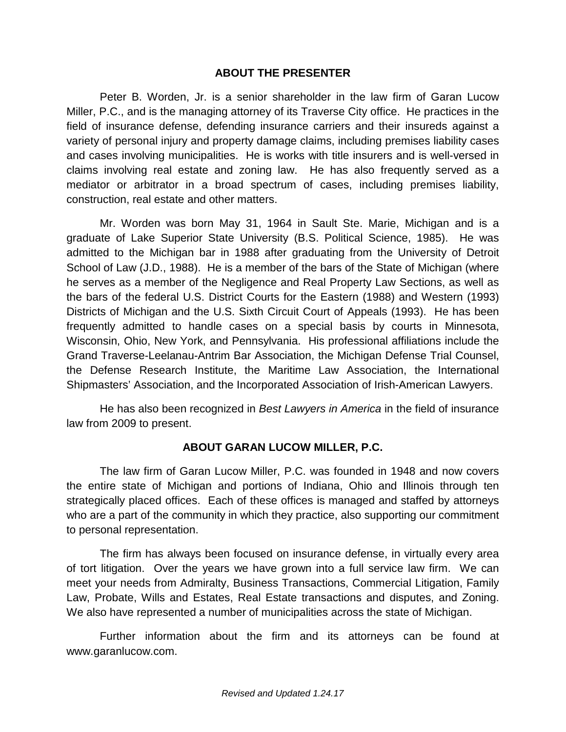#### **ABOUT THE PRESENTER**

Peter B. Worden, Jr. is a senior shareholder in the law firm of Garan Lucow Miller, P.C., and is the managing attorney of its Traverse City office. He practices in the field of insurance defense, defending insurance carriers and their insureds against a variety of personal injury and property damage claims, including premises liability cases and cases involving municipalities. He is works with title insurers and is well-versed in claims involving real estate and zoning law. He has also frequently served as a mediator or arbitrator in a broad spectrum of cases, including premises liability, construction, real estate and other matters.

Mr. Worden was born May 31, 1964 in Sault Ste. Marie, Michigan and is a graduate of Lake Superior State University (B.S. Political Science, 1985). He was admitted to the Michigan bar in 1988 after graduating from the University of Detroit School of Law (J.D., 1988). He is a member of the bars of the State of Michigan (where he serves as a member of the Negligence and Real Property Law Sections, as well as the bars of the federal U.S. District Courts for the Eastern (1988) and Western (1993) Districts of Michigan and the U.S. Sixth Circuit Court of Appeals (1993). He has been frequently admitted to handle cases on a special basis by courts in Minnesota, Wisconsin, Ohio, New York, and Pennsylvania. His professional affiliations include the Grand Traverse-Leelanau-Antrim Bar Association, the Michigan Defense Trial Counsel, the Defense Research Institute, the Maritime Law Association, the International Shipmasters' Association, and the Incorporated Association of Irish-American Lawyers.

He has also been recognized in *Best Lawyers in America* in the field of insurance law from 2009 to present.

## **ABOUT GARAN LUCOW MILLER, P.C.**

The law firm of Garan Lucow Miller, P.C. was founded in 1948 and now covers the entire state of Michigan and portions of Indiana, Ohio and Illinois through ten strategically placed offices. Each of these offices is managed and staffed by attorneys who are a part of the community in which they practice, also supporting our commitment to personal representation.

The firm has always been focused on insurance defense, in virtually every area of tort litigation. Over the years we have grown into a full service law firm. We can meet your needs from Admiralty, Business Transactions, Commercial Litigation, Family Law, Probate, Wills and Estates, Real Estate transactions and disputes, and Zoning. We also have represented a number of municipalities across the state of Michigan.

Further information about the firm and its attorneys can be found at www.garanlucow.com.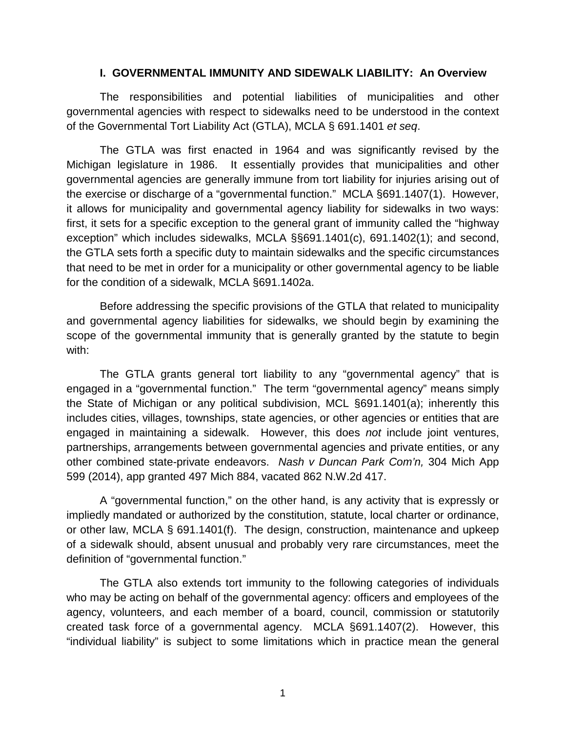#### **I. GOVERNMENTAL IMMUNITY AND SIDEWALK LIABILITY: An Overview**

The responsibilities and potential liabilities of municipalities and other governmental agencies with respect to sidewalks need to be understood in the context of the Governmental Tort Liability Act (GTLA), MCLA § 691.1401 *et seq*.

The GTLA was first enacted in 1964 and was significantly revised by the Michigan legislature in 1986. It essentially provides that municipalities and other governmental agencies are generally immune from tort liability for injuries arising out of the exercise or discharge of a "governmental function." MCLA §691.1407(1). However, it allows for municipality and governmental agency liability for sidewalks in two ways: first, it sets for a specific exception to the general grant of immunity called the "highway exception" which includes sidewalks, MCLA §§691.1401(c), 691.1402(1); and second, the GTLA sets forth a specific duty to maintain sidewalks and the specific circumstances that need to be met in order for a municipality or other governmental agency to be liable for the condition of a sidewalk, MCLA §691.1402a.

Before addressing the specific provisions of the GTLA that related to municipality and governmental agency liabilities for sidewalks, we should begin by examining the scope of the governmental immunity that is generally granted by the statute to begin with:

The GTLA grants general tort liability to any "governmental agency" that is engaged in a "governmental function." The term "governmental agency" means simply the State of Michigan or any political subdivision, MCL §691.1401(a); inherently this includes cities, villages, townships, state agencies, or other agencies or entities that are engaged in maintaining a sidewalk. However, this does *not* include joint ventures, partnerships, arrangements between governmental agencies and private entities, or any other combined state-private endeavors. *Nash v Duncan Park Com'n,* 304 Mich App 599 (2014), app granted 497 Mich 884, vacated 862 N.W.2d 417.

A "governmental function," on the other hand, is any activity that is expressly or impliedly mandated or authorized by the constitution, statute, local charter or ordinance, or other law, MCLA § 691.1401(f). The design, construction, maintenance and upkeep of a sidewalk should, absent unusual and probably very rare circumstances, meet the definition of "governmental function."

The GTLA also extends tort immunity to the following categories of individuals who may be acting on behalf of the governmental agency: officers and employees of the agency, volunteers, and each member of a board, council, commission or statutorily created task force of a governmental agency. MCLA §691.1407(2). However, this "individual liability" is subject to some limitations which in practice mean the general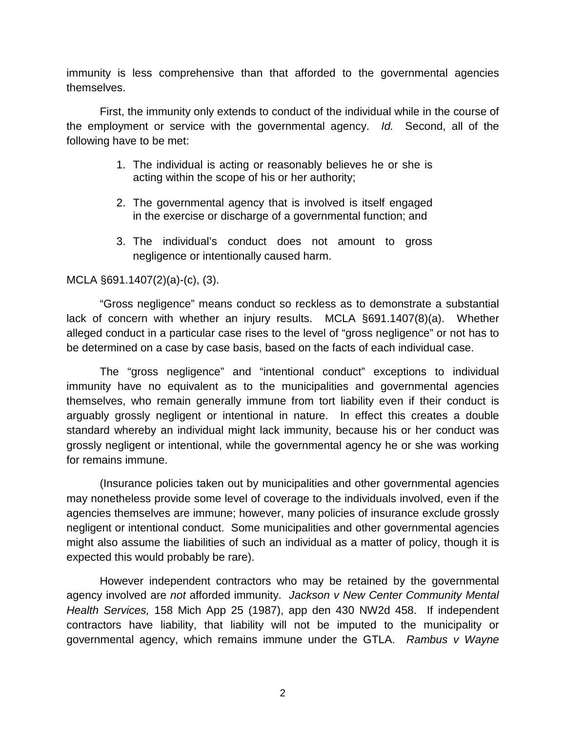immunity is less comprehensive than that afforded to the governmental agencies themselves.

First, the immunity only extends to conduct of the individual while in the course of the employment or service with the governmental agency. *Id.* Second, all of the following have to be met:

- 1. The individual is acting or reasonably believes he or she is acting within the scope of his or her authority;
- 2. The governmental agency that is involved is itself engaged in the exercise or discharge of a governmental function; and
- 3. The individual's conduct does not amount to gross negligence or intentionally caused harm.

#### MCLA §691.1407(2)(a)-(c), (3).

"Gross negligence" means conduct so reckless as to demonstrate a substantial lack of concern with whether an injury results. MCLA §691.1407(8)(a). Whether alleged conduct in a particular case rises to the level of "gross negligence" or not has to be determined on a case by case basis, based on the facts of each individual case.

The "gross negligence" and "intentional conduct" exceptions to individual immunity have no equivalent as to the municipalities and governmental agencies themselves, who remain generally immune from tort liability even if their conduct is arguably grossly negligent or intentional in nature. In effect this creates a double standard whereby an individual might lack immunity, because his or her conduct was grossly negligent or intentional, while the governmental agency he or she was working for remains immune.

(Insurance policies taken out by municipalities and other governmental agencies may nonetheless provide some level of coverage to the individuals involved, even if the agencies themselves are immune; however, many policies of insurance exclude grossly negligent or intentional conduct. Some municipalities and other governmental agencies might also assume the liabilities of such an individual as a matter of policy, though it is expected this would probably be rare).

However independent contractors who may be retained by the governmental agency involved are *not* afforded immunity. *Jackson v New Center Community Mental Health Services,* 158 Mich App 25 (1987), app den 430 NW2d 458. If independent contractors have liability, that liability will not be imputed to the municipality or governmental agency, which remains immune under the GTLA. *Rambus v Wayne*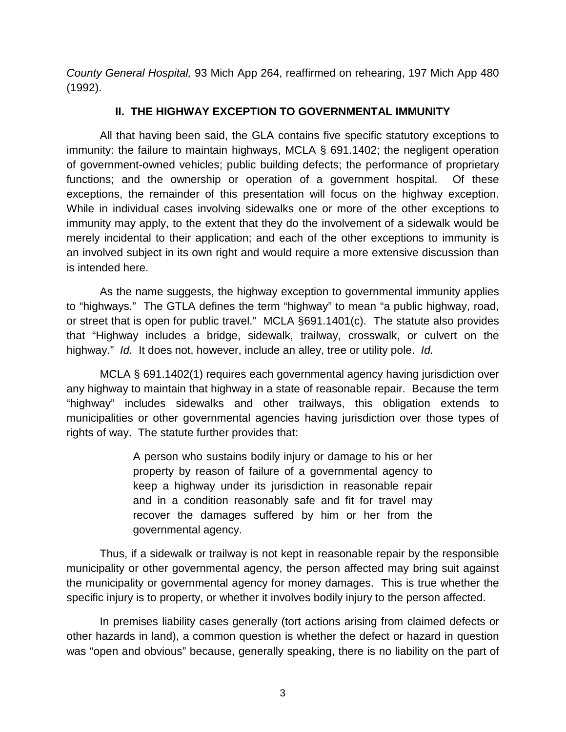*County General Hospital,* 93 Mich App 264, reaffirmed on rehearing, 197 Mich App 480 (1992).

# **II. THE HIGHWAY EXCEPTION TO GOVERNMENTAL IMMUNITY**

All that having been said, the GLA contains five specific statutory exceptions to immunity: the failure to maintain highways, MCLA § 691.1402; the negligent operation of government-owned vehicles; public building defects; the performance of proprietary functions; and the ownership or operation of a government hospital. Of these exceptions, the remainder of this presentation will focus on the highway exception. While in individual cases involving sidewalks one or more of the other exceptions to immunity may apply, to the extent that they do the involvement of a sidewalk would be merely incidental to their application; and each of the other exceptions to immunity is an involved subject in its own right and would require a more extensive discussion than is intended here.

As the name suggests, the highway exception to governmental immunity applies to "highways." The GTLA defines the term "highway" to mean "a public highway, road, or street that is open for public travel." MCLA §691.1401(c). The statute also provides that "Highway includes a bridge, sidewalk, trailway, crosswalk, or culvert on the highway." *Id.* It does not, however, include an alley, tree or utility pole. *Id.*

MCLA § 691.1402(1) requires each governmental agency having jurisdiction over any highway to maintain that highway in a state of reasonable repair. Because the term "highway" includes sidewalks and other trailways, this obligation extends to municipalities or other governmental agencies having jurisdiction over those types of rights of way. The statute further provides that:

> A person who sustains bodily injury or damage to his or her property by reason of failure of a governmental agency to keep a highway under its jurisdiction in reasonable repair and in a condition reasonably safe and fit for travel may recover the damages suffered by him or her from the governmental agency.

Thus, if a sidewalk or trailway is not kept in reasonable repair by the responsible municipality or other governmental agency, the person affected may bring suit against the municipality or governmental agency for money damages. This is true whether the specific injury is to property, or whether it involves bodily injury to the person affected.

In premises liability cases generally (tort actions arising from claimed defects or other hazards in land), a common question is whether the defect or hazard in question was "open and obvious" because, generally speaking, there is no liability on the part of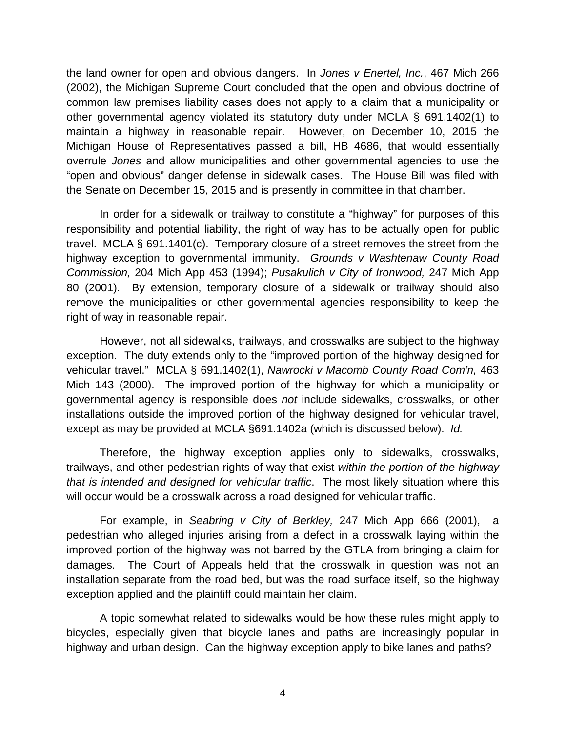the land owner for open and obvious dangers. In *Jones v Enertel, Inc.*, 467 Mich 266 (2002), the Michigan Supreme Court concluded that the open and obvious doctrine of common law premises liability cases does not apply to a claim that a municipality or other governmental agency violated its statutory duty under MCLA § 691.1402(1) to maintain a highway in reasonable repair. However, on December 10, 2015 the Michigan House of Representatives passed a bill, HB 4686, that would essentially overrule *Jones* and allow municipalities and other governmental agencies to use the "open and obvious" danger defense in sidewalk cases. The House Bill was filed with the Senate on December 15, 2015 and is presently in committee in that chamber.

In order for a sidewalk or trailway to constitute a "highway" for purposes of this responsibility and potential liability, the right of way has to be actually open for public travel. MCLA § 691.1401(c). Temporary closure of a street removes the street from the highway exception to governmental immunity. *Grounds v Washtenaw County Road Commission,* 204 Mich App 453 (1994); *Pusakulich v City of Ironwood,* 247 Mich App 80 (2001). By extension, temporary closure of a sidewalk or trailway should also remove the municipalities or other governmental agencies responsibility to keep the right of way in reasonable repair.

However, not all sidewalks, trailways, and crosswalks are subject to the highway exception. The duty extends only to the "improved portion of the highway designed for vehicular travel." MCLA § 691.1402(1), *Nawrocki v Macomb County Road Com'n,* 463 Mich 143 (2000). The improved portion of the highway for which a municipality or governmental agency is responsible does *not* include sidewalks, crosswalks, or other installations outside the improved portion of the highway designed for vehicular travel, except as may be provided at MCLA §691.1402a (which is discussed below). *Id.* 

Therefore, the highway exception applies only to sidewalks, crosswalks, trailways, and other pedestrian rights of way that exist *within the portion of the highway that is intended and designed for vehicular traffic*. The most likely situation where this will occur would be a crosswalk across a road designed for vehicular traffic.

For example, in *Seabring v City of Berkley,* 247 Mich App 666 (2001), a pedestrian who alleged injuries arising from a defect in a crosswalk laying within the improved portion of the highway was not barred by the GTLA from bringing a claim for damages. The Court of Appeals held that the crosswalk in question was not an installation separate from the road bed, but was the road surface itself, so the highway exception applied and the plaintiff could maintain her claim.

A topic somewhat related to sidewalks would be how these rules might apply to bicycles, especially given that bicycle lanes and paths are increasingly popular in highway and urban design. Can the highway exception apply to bike lanes and paths?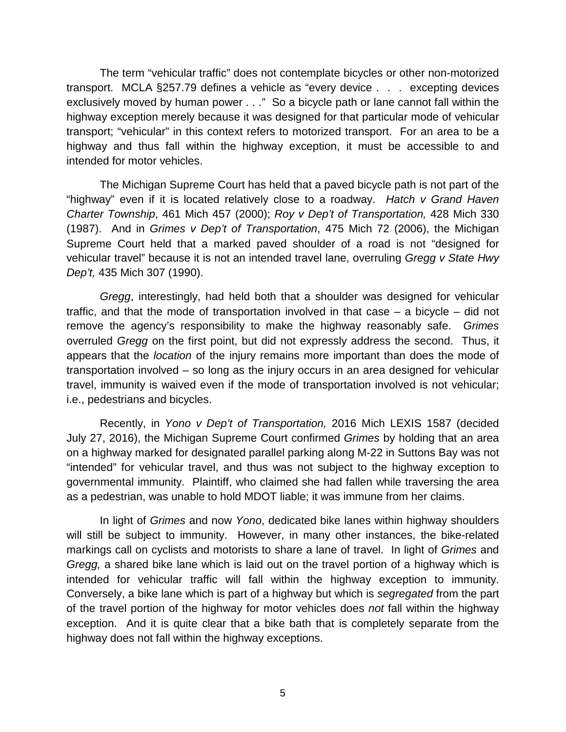The term "vehicular traffic" does not contemplate bicycles or other non-motorized transport. MCLA §257.79 defines a vehicle as "every device . . . excepting devices exclusively moved by human power . . ." So a bicycle path or lane cannot fall within the highway exception merely because it was designed for that particular mode of vehicular transport; "vehicular" in this context refers to motorized transport. For an area to be a highway and thus fall within the highway exception, it must be accessible to and intended for motor vehicles.

The Michigan Supreme Court has held that a paved bicycle path is not part of the "highway" even if it is located relatively close to a roadway. *Hatch v Grand Haven Charter Township*, 461 Mich 457 (2000); *Roy v Dep't of Transportation,* 428 Mich 330 (1987). And in *Grimes v Dep't of Transportation*, 475 Mich 72 (2006), the Michigan Supreme Court held that a marked paved shoulder of a road is not "designed for vehicular travel" because it is not an intended travel lane, overruling *Gregg v State Hwy Dep't,* 435 Mich 307 (1990).

*Gregg*, interestingly, had held both that a shoulder was designed for vehicular traffic, and that the mode of transportation involved in that case – a bicycle – did not remove the agency's responsibility to make the highway reasonably safe. *Grimes* overruled *Gregg* on the first point, but did not expressly address the second. Thus, it appears that the *location* of the injury remains more important than does the mode of transportation involved – so long as the injury occurs in an area designed for vehicular travel, immunity is waived even if the mode of transportation involved is not vehicular; i.e., pedestrians and bicycles.

Recently, in *Yono v Dep't of Transportation,* 2016 Mich LEXIS 1587 (decided July 27, 2016), the Michigan Supreme Court confirmed *Grimes* by holding that an area on a highway marked for designated parallel parking along M-22 in Suttons Bay was not "intended" for vehicular travel, and thus was not subject to the highway exception to governmental immunity. Plaintiff, who claimed she had fallen while traversing the area as a pedestrian, was unable to hold MDOT liable; it was immune from her claims.

In light of *Grimes* and now *Yono*, dedicated bike lanes within highway shoulders will still be subject to immunity. However, in many other instances, the bike-related markings call on cyclists and motorists to share a lane of travel. In light of *Grimes* and *Gregg,* a shared bike lane which is laid out on the travel portion of a highway which is intended for vehicular traffic will fall within the highway exception to immunity. Conversely, a bike lane which is part of a highway but which is *segregated* from the part of the travel portion of the highway for motor vehicles does *not* fall within the highway exception. And it is quite clear that a bike bath that is completely separate from the highway does not fall within the highway exceptions.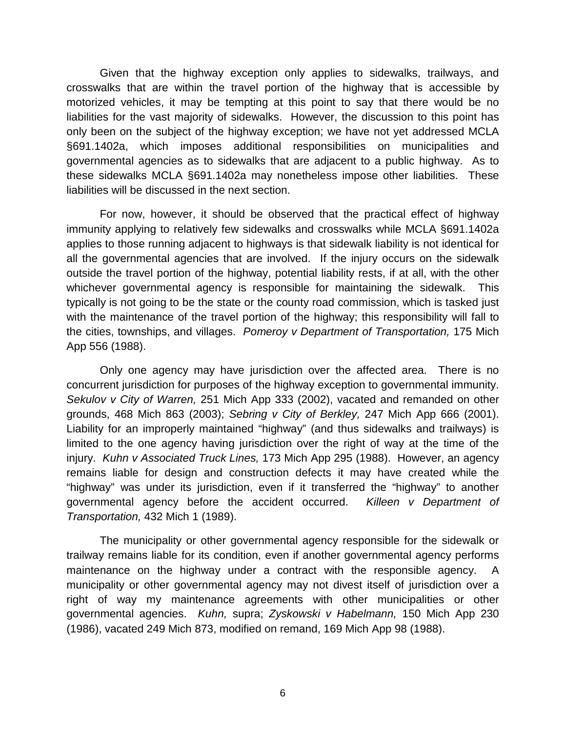Given that the highway exception only applies to sidewalks, trailways, and crosswalks that are within the travel portion of the highway that is accessible by motorized vehicles, it may be tempting at this point to say that there would be no liabilities for the vast majority of sidewalks. However, the discussion to this point has only been on the subject of the highway exception; we have not yet addressed MCLA §691.1402a, which imposes additional responsibilities on municipalities and governmental agencies as to sidewalks that are adjacent to a public highway. As to these sidewalks MCLA §691.1402a may nonetheless impose other liabilities. These liabilities will be discussed in the next section.

For now, however, it should be observed that the practical effect of highway immunity applying to relatively few sidewalks and crosswalks while MCLA §691.1402a applies to those running adjacent to highways is that sidewalk liability is not identical for all the governmental agencies that are involved. If the injury occurs on the sidewalk outside the travel portion of the highway, potential liability rests, if at all, with the other whichever governmental agency is responsible for maintaining the sidewalk. This typically is not going to be the state or the county road commission, which is tasked just with the maintenance of the travel portion of the highway; this responsibility will fall to the cities, townships, and villages. *Pomeroy v Department of Transportation,* 175 Mich App 556 (1988).

Only one agency may have jurisdiction over the affected area. There is no concurrent jurisdiction for purposes of the highway exception to governmental immunity. *Sekulov v City of Warren,* 251 Mich App 333 (2002), vacated and remanded on other grounds, 468 Mich 863 (2003); *Sebring v City of Berkley,* 247 Mich App 666 (2001). Liability for an improperly maintained "highway" (and thus sidewalks and trailways) is limited to the one agency having jurisdiction over the right of way at the time of the injury. *Kuhn v Associated Truck Lines,* 173 Mich App 295 (1988). However, an agency remains liable for design and construction defects it may have created while the "highway" was under its jurisdiction, even if it transferred the "highway" to another governmental agency before the accident occurred. *Killeen v Department of Transportation,* 432 Mich 1 (1989).

The municipality or other governmental agency responsible for the sidewalk or trailway remains liable for its condition, even if another governmental agency performs maintenance on the highway under a contract with the responsible agency. A municipality or other governmental agency may not divest itself of jurisdiction over a right of way my maintenance agreements with other municipalities or other governmental agencies. *Kuhn,* supra; *Zyskowski v Habelmann,* 150 Mich App 230 (1986), vacated 249 Mich 873, modified on remand, 169 Mich App 98 (1988).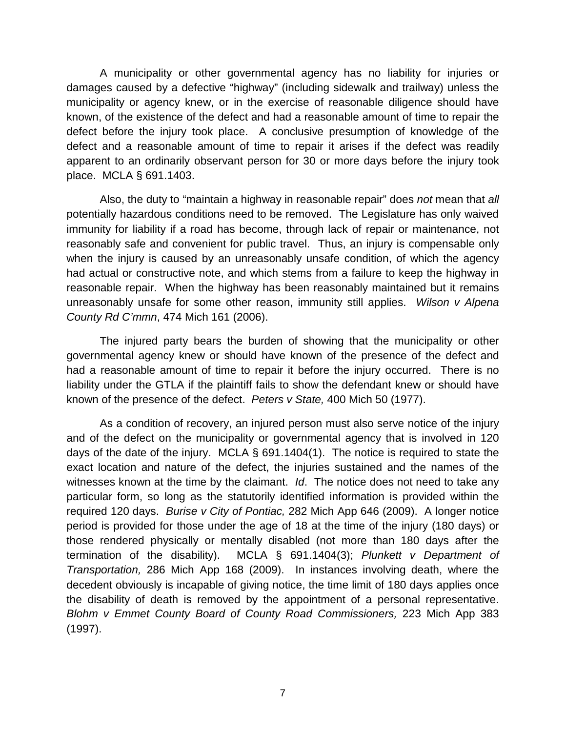A municipality or other governmental agency has no liability for injuries or damages caused by a defective "highway" (including sidewalk and trailway) unless the municipality or agency knew, or in the exercise of reasonable diligence should have known, of the existence of the defect and had a reasonable amount of time to repair the defect before the injury took place. A conclusive presumption of knowledge of the defect and a reasonable amount of time to repair it arises if the defect was readily apparent to an ordinarily observant person for 30 or more days before the injury took place. MCLA § 691.1403.

Also, the duty to "maintain a highway in reasonable repair" does *not* mean that *all* potentially hazardous conditions need to be removed. The Legislature has only waived immunity for liability if a road has become, through lack of repair or maintenance, not reasonably safe and convenient for public travel. Thus, an injury is compensable only when the injury is caused by an unreasonably unsafe condition, of which the agency had actual or constructive note, and which stems from a failure to keep the highway in reasonable repair. When the highway has been reasonably maintained but it remains unreasonably unsafe for some other reason, immunity still applies. *Wilson v Alpena County Rd C'mmn*, 474 Mich 161 (2006).

The injured party bears the burden of showing that the municipality or other governmental agency knew or should have known of the presence of the defect and had a reasonable amount of time to repair it before the injury occurred. There is no liability under the GTLA if the plaintiff fails to show the defendant knew or should have known of the presence of the defect. *Peters v State,* 400 Mich 50 (1977).

As a condition of recovery, an injured person must also serve notice of the injury and of the defect on the municipality or governmental agency that is involved in 120 days of the date of the injury. MCLA § 691.1404(1). The notice is required to state the exact location and nature of the defect, the injuries sustained and the names of the witnesses known at the time by the claimant. *Id*. The notice does not need to take any particular form, so long as the statutorily identified information is provided within the required 120 days. *Burise v City of Pontiac,* 282 Mich App 646 (2009). A longer notice period is provided for those under the age of 18 at the time of the injury (180 days) or those rendered physically or mentally disabled (not more than 180 days after the termination of the disability). MCLA § 691.1404(3); *Plunkett v Department of Transportation,* 286 Mich App 168 (2009). In instances involving death, where the decedent obviously is incapable of giving notice, the time limit of 180 days applies once the disability of death is removed by the appointment of a personal representative. *Blohm v Emmet County Board of County Road Commissioners,* 223 Mich App 383 (1997).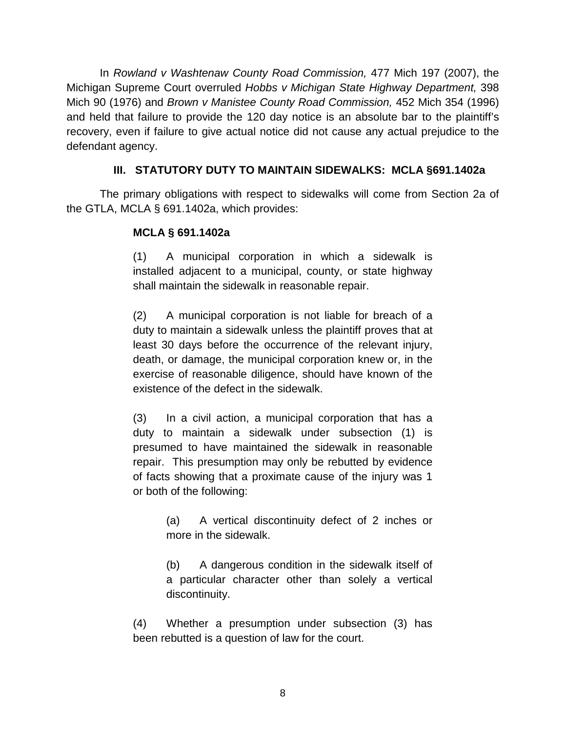In *Rowland v Washtenaw County Road Commission,* 477 Mich 197 (2007), the Michigan Supreme Court overruled *Hobbs v Michigan State Highway Department,* 398 Mich 90 (1976) and *Brown v Manistee County Road Commission,* 452 Mich 354 (1996) and held that failure to provide the 120 day notice is an absolute bar to the plaintiff's recovery, even if failure to give actual notice did not cause any actual prejudice to the defendant agency.

# **III. STATUTORY DUTY TO MAINTAIN SIDEWALKS: MCLA §691.1402a**

The primary obligations with respect to sidewalks will come from Section 2a of the GTLA, MCLA § 691.1402a, which provides:

## **MCLA § 691.1402a**

(1) A municipal corporation in which a sidewalk is installed adjacent to a municipal, county, or state highway shall maintain the sidewalk in reasonable repair.

(2) A municipal corporation is not liable for breach of a duty to maintain a sidewalk unless the plaintiff proves that at least 30 days before the occurrence of the relevant injury, death, or damage, the municipal corporation knew or, in the exercise of reasonable diligence, should have known of the existence of the defect in the sidewalk.

(3) In a civil action, a municipal corporation that has a duty to maintain a sidewalk under subsection (1) is presumed to have maintained the sidewalk in reasonable repair. This presumption may only be rebutted by evidence of facts showing that a proximate cause of the injury was 1 or both of the following:

> (a) A vertical discontinuity defect of 2 inches or more in the sidewalk.

> (b) A dangerous condition in the sidewalk itself of a particular character other than solely a vertical discontinuity.

(4) Whether a presumption under subsection (3) has been rebutted is a question of law for the court.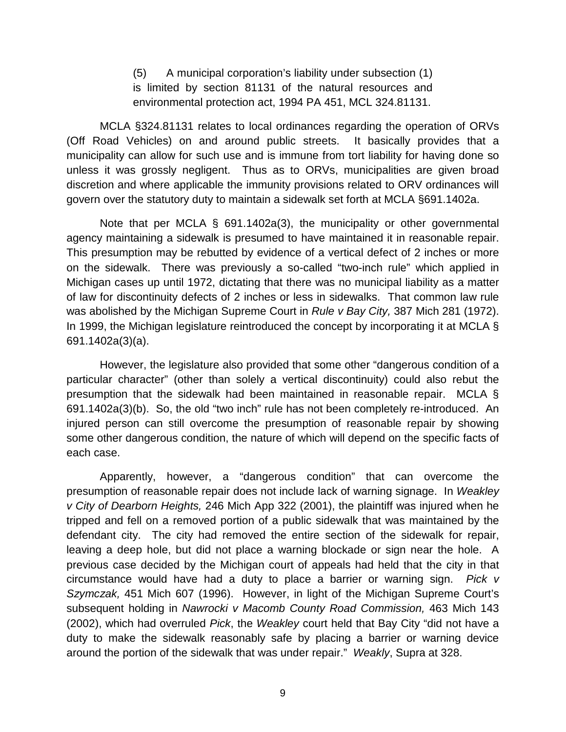(5) A municipal corporation's liability under subsection (1) is limited by section 81131 of the natural resources and environmental protection act, 1994 PA 451, MCL 324.81131.

MCLA §324.81131 relates to local ordinances regarding the operation of ORVs (Off Road Vehicles) on and around public streets. It basically provides that a municipality can allow for such use and is immune from tort liability for having done so unless it was grossly negligent. Thus as to ORVs, municipalities are given broad discretion and where applicable the immunity provisions related to ORV ordinances will govern over the statutory duty to maintain a sidewalk set forth at MCLA §691.1402a.

Note that per MCLA § 691.1402a(3), the municipality or other governmental agency maintaining a sidewalk is presumed to have maintained it in reasonable repair. This presumption may be rebutted by evidence of a vertical defect of 2 inches or more on the sidewalk. There was previously a so-called "two-inch rule" which applied in Michigan cases up until 1972, dictating that there was no municipal liability as a matter of law for discontinuity defects of 2 inches or less in sidewalks. That common law rule was abolished by the Michigan Supreme Court in *Rule v Bay City,* 387 Mich 281 (1972). In 1999, the Michigan legislature reintroduced the concept by incorporating it at MCLA § 691.1402a(3)(a).

However, the legislature also provided that some other "dangerous condition of a particular character" (other than solely a vertical discontinuity) could also rebut the presumption that the sidewalk had been maintained in reasonable repair. MCLA § 691.1402a(3)(b). So, the old "two inch" rule has not been completely re-introduced. An injured person can still overcome the presumption of reasonable repair by showing some other dangerous condition, the nature of which will depend on the specific facts of each case.

Apparently, however, a "dangerous condition" that can overcome the presumption of reasonable repair does not include lack of warning signage. In *Weakley v City of Dearborn Heights,* 246 Mich App 322 (2001), the plaintiff was injured when he tripped and fell on a removed portion of a public sidewalk that was maintained by the defendant city. The city had removed the entire section of the sidewalk for repair, leaving a deep hole, but did not place a warning blockade or sign near the hole. A previous case decided by the Michigan court of appeals had held that the city in that circumstance would have had a duty to place a barrier or warning sign. *Pick v Szymczak,* 451 Mich 607 (1996). However, in light of the Michigan Supreme Court's subsequent holding in *Nawrocki v Macomb County Road Commission,* 463 Mich 143 (2002), which had overruled *Pick*, the *Weakley* court held that Bay City "did not have a duty to make the sidewalk reasonably safe by placing a barrier or warning device around the portion of the sidewalk that was under repair." *Weakly*, Supra at 328.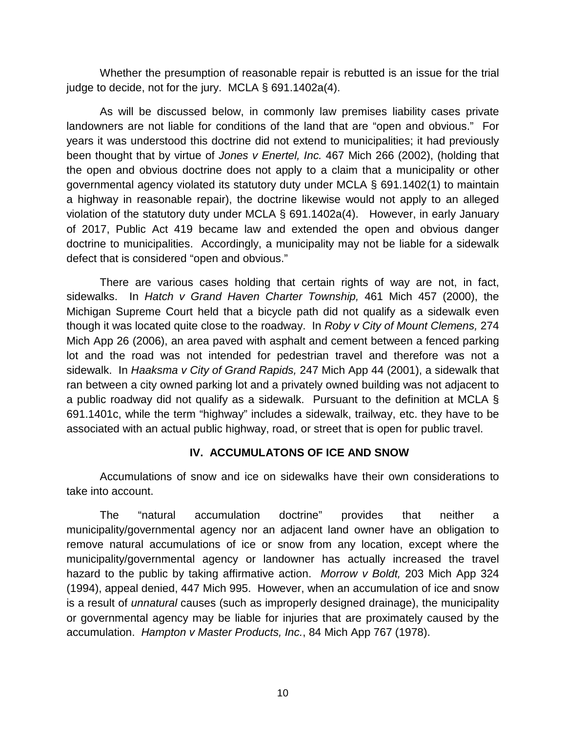Whether the presumption of reasonable repair is rebutted is an issue for the trial judge to decide, not for the jury. MCLA § 691.1402a(4).

As will be discussed below, in commonly law premises liability cases private landowners are not liable for conditions of the land that are "open and obvious." For years it was understood this doctrine did not extend to municipalities; it had previously been thought that by virtue of *Jones v Enertel, Inc.* 467 Mich 266 (2002), (holding that the open and obvious doctrine does not apply to a claim that a municipality or other governmental agency violated its statutory duty under MCLA § 691.1402(1) to maintain a highway in reasonable repair), the doctrine likewise would not apply to an alleged violation of the statutory duty under MCLA § 691.1402a(4). However, in early January of 2017, Public Act 419 became law and extended the open and obvious danger doctrine to municipalities. Accordingly, a municipality may not be liable for a sidewalk defect that is considered "open and obvious."

There are various cases holding that certain rights of way are not, in fact, sidewalks. In *Hatch v Grand Haven Charter Township,* 461 Mich 457 (2000), the Michigan Supreme Court held that a bicycle path did not qualify as a sidewalk even though it was located quite close to the roadway. In *Roby v City of Mount Clemens,* 274 Mich App 26 (2006), an area paved with asphalt and cement between a fenced parking lot and the road was not intended for pedestrian travel and therefore was not a sidewalk. In *Haaksma v City of Grand Rapids,* 247 Mich App 44 (2001), a sidewalk that ran between a city owned parking lot and a privately owned building was not adjacent to a public roadway did not qualify as a sidewalk. Pursuant to the definition at MCLA § 691.1401c, while the term "highway" includes a sidewalk, trailway, etc. they have to be associated with an actual public highway, road, or street that is open for public travel.

#### **IV. ACCUMULATONS OF ICE AND SNOW**

Accumulations of snow and ice on sidewalks have their own considerations to take into account.

The "natural accumulation doctrine" provides that neither a municipality/governmental agency nor an adjacent land owner have an obligation to remove natural accumulations of ice or snow from any location, except where the municipality/governmental agency or landowner has actually increased the travel hazard to the public by taking affirmative action. *Morrow v Boldt,* 203 Mich App 324 (1994), appeal denied, 447 Mich 995. However, when an accumulation of ice and snow is a result of *unnatural* causes (such as improperly designed drainage), the municipality or governmental agency may be liable for injuries that are proximately caused by the accumulation. *Hampton v Master Products, Inc.*, 84 Mich App 767 (1978).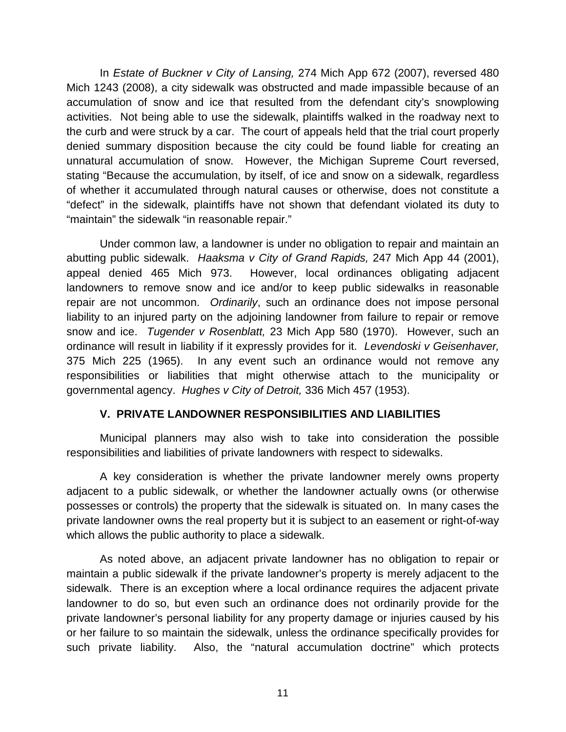In *Estate of Buckner v City of Lansing,* 274 Mich App 672 (2007), reversed 480 Mich 1243 (2008), a city sidewalk was obstructed and made impassible because of an accumulation of snow and ice that resulted from the defendant city's snowplowing activities. Not being able to use the sidewalk, plaintiffs walked in the roadway next to the curb and were struck by a car. The court of appeals held that the trial court properly denied summary disposition because the city could be found liable for creating an unnatural accumulation of snow. However, the Michigan Supreme Court reversed, stating "Because the accumulation, by itself, of ice and snow on a sidewalk, regardless of whether it accumulated through natural causes or otherwise, does not constitute a "defect" in the sidewalk, plaintiffs have not shown that defendant violated its duty to "maintain" the sidewalk "in reasonable repair."

Under common law, a landowner is under no obligation to repair and maintain an abutting public sidewalk. *Haaksma v City of Grand Rapids,* 247 Mich App 44 (2001), appeal denied 465 Mich 973. However, local ordinances obligating adjacent landowners to remove snow and ice and/or to keep public sidewalks in reasonable repair are not uncommon. *Ordinarily*, such an ordinance does not impose personal liability to an injured party on the adjoining landowner from failure to repair or remove snow and ice. *Tugender v Rosenblatt,* 23 Mich App 580 (1970). However, such an ordinance will result in liability if it expressly provides for it. *Levendoski v Geisenhaver,* 375 Mich 225 (1965). In any event such an ordinance would not remove any responsibilities or liabilities that might otherwise attach to the municipality or governmental agency. *Hughes v City of Detroit,* 336 Mich 457 (1953).

#### **V. PRIVATE LANDOWNER RESPONSIBILITIES AND LIABILITIES**

Municipal planners may also wish to take into consideration the possible responsibilities and liabilities of private landowners with respect to sidewalks.

A key consideration is whether the private landowner merely owns property adjacent to a public sidewalk, or whether the landowner actually owns (or otherwise possesses or controls) the property that the sidewalk is situated on. In many cases the private landowner owns the real property but it is subject to an easement or right-of-way which allows the public authority to place a sidewalk.

As noted above, an adjacent private landowner has no obligation to repair or maintain a public sidewalk if the private landowner's property is merely adjacent to the sidewalk. There is an exception where a local ordinance requires the adjacent private landowner to do so, but even such an ordinance does not ordinarily provide for the private landowner's personal liability for any property damage or injuries caused by his or her failure to so maintain the sidewalk, unless the ordinance specifically provides for such private liability. Also, the "natural accumulation doctrine" which protects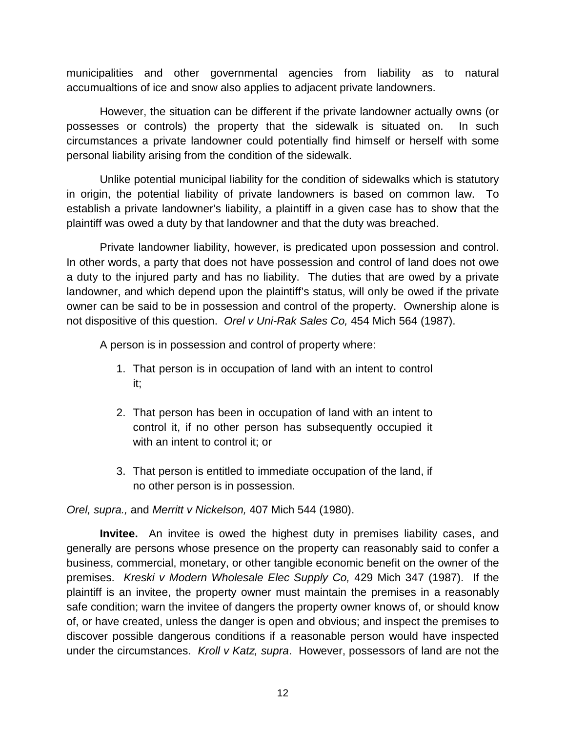municipalities and other governmental agencies from liability as to natural accumualtions of ice and snow also applies to adjacent private landowners.

However, the situation can be different if the private landowner actually owns (or possesses or controls) the property that the sidewalk is situated on. In such circumstances a private landowner could potentially find himself or herself with some personal liability arising from the condition of the sidewalk.

Unlike potential municipal liability for the condition of sidewalks which is statutory in origin, the potential liability of private landowners is based on common law. To establish a private landowner's liability, a plaintiff in a given case has to show that the plaintiff was owed a duty by that landowner and that the duty was breached.

Private landowner liability, however, is predicated upon possession and control. In other words, a party that does not have possession and control of land does not owe a duty to the injured party and has no liability. The duties that are owed by a private landowner, and which depend upon the plaintiff's status, will only be owed if the private owner can be said to be in possession and control of the property. Ownership alone is not dispositive of this question. *Orel v Uni-Rak Sales Co,* 454 Mich 564 (1987).

A person is in possession and control of property where:

- 1. That person is in occupation of land with an intent to control it;
- 2. That person has been in occupation of land with an intent to control it, if no other person has subsequently occupied it with an intent to control it; or
- 3. That person is entitled to immediate occupation of the land, if no other person is in possession.

*Orel, supra.,* and *Merritt v Nickelson,* 407 Mich 544 (1980).

**Invitee.** An invitee is owed the highest duty in premises liability cases, and generally are persons whose presence on the property can reasonably said to confer a business, commercial, monetary, or other tangible economic benefit on the owner of the premises. *Kreski v Modern Wholesale Elec Supply Co,* 429 Mich 347 (1987). If the plaintiff is an invitee, the property owner must maintain the premises in a reasonably safe condition; warn the invitee of dangers the property owner knows of, or should know of, or have created, unless the danger is open and obvious; and inspect the premises to discover possible dangerous conditions if a reasonable person would have inspected under the circumstances. *Kroll v Katz, supra*. However, possessors of land are not the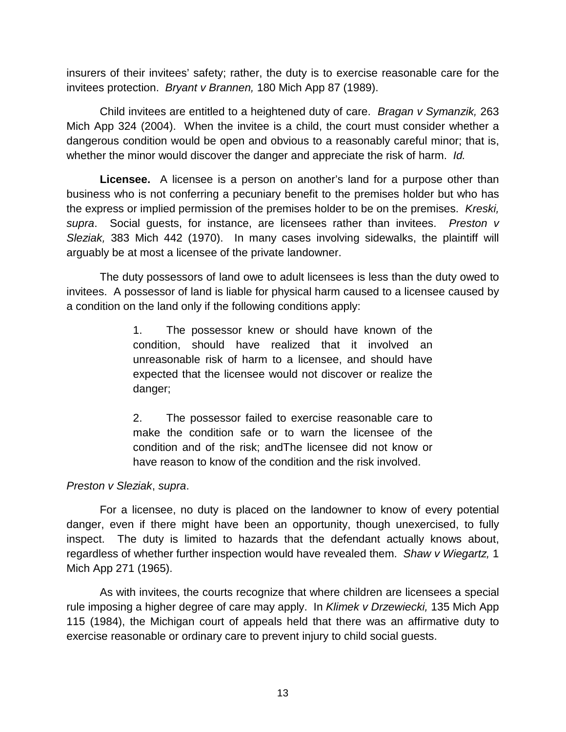insurers of their invitees' safety; rather, the duty is to exercise reasonable care for the invitees protection. *Bryant v Brannen,* 180 Mich App 87 (1989).

Child invitees are entitled to a heightened duty of care. *Bragan v Symanzik,* 263 Mich App 324 (2004). When the invitee is a child, the court must consider whether a dangerous condition would be open and obvious to a reasonably careful minor; that is, whether the minor would discover the danger and appreciate the risk of harm. *Id.*

**Licensee.** A licensee is a person on another's land for a purpose other than business who is not conferring a pecuniary benefit to the premises holder but who has the express or implied permission of the premises holder to be on the premises. *Kreski, supra*. Social guests, for instance, are licensees rather than invitees. *Preston v Sleziak,* 383 Mich 442 (1970). In many cases involving sidewalks, the plaintiff will arguably be at most a licensee of the private landowner.

The duty possessors of land owe to adult licensees is less than the duty owed to invitees. A possessor of land is liable for physical harm caused to a licensee caused by a condition on the land only if the following conditions apply:

> 1. The possessor knew or should have known of the condition, should have realized that it involved an unreasonable risk of harm to a licensee, and should have expected that the licensee would not discover or realize the danger;

> 2. The possessor failed to exercise reasonable care to make the condition safe or to warn the licensee of the condition and of the risk; andThe licensee did not know or have reason to know of the condition and the risk involved.

#### *Preston v Sleziak*, *supra*.

For a licensee, no duty is placed on the landowner to know of every potential danger, even if there might have been an opportunity, though unexercised, to fully inspect. The duty is limited to hazards that the defendant actually knows about, regardless of whether further inspection would have revealed them. *Shaw v Wiegartz,* 1 Mich App 271 (1965).

As with invitees, the courts recognize that where children are licensees a special rule imposing a higher degree of care may apply. In *Klimek v Drzewiecki,* 135 Mich App 115 (1984), the Michigan court of appeals held that there was an affirmative duty to exercise reasonable or ordinary care to prevent injury to child social guests.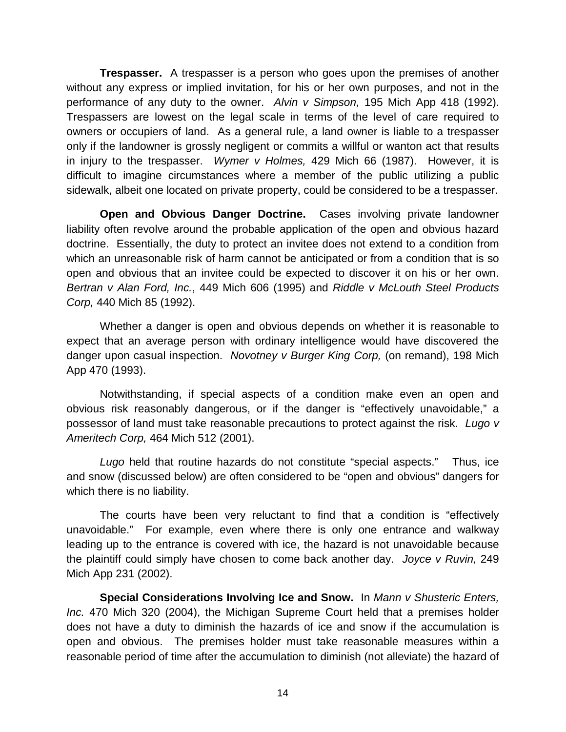**Trespasser.** A trespasser is a person who goes upon the premises of another without any express or implied invitation, for his or her own purposes, and not in the performance of any duty to the owner. *Alvin v Simpson,* 195 Mich App 418 (1992). Trespassers are lowest on the legal scale in terms of the level of care required to owners or occupiers of land. As a general rule, a land owner is liable to a trespasser only if the landowner is grossly negligent or commits a willful or wanton act that results in injury to the trespasser. *Wymer v Holmes,* 429 Mich 66 (1987). However, it is difficult to imagine circumstances where a member of the public utilizing a public sidewalk, albeit one located on private property, could be considered to be a trespasser.

**Open and Obvious Danger Doctrine.** Cases involving private landowner liability often revolve around the probable application of the open and obvious hazard doctrine. Essentially, the duty to protect an invitee does not extend to a condition from which an unreasonable risk of harm cannot be anticipated or from a condition that is so open and obvious that an invitee could be expected to discover it on his or her own. *Bertran v Alan Ford, Inc.*, 449 Mich 606 (1995) and *Riddle v McLouth Steel Products Corp,* 440 Mich 85 (1992).

Whether a danger is open and obvious depends on whether it is reasonable to expect that an average person with ordinary intelligence would have discovered the danger upon casual inspection. *Novotney v Burger King Corp,* (on remand), 198 Mich App 470 (1993).

Notwithstanding, if special aspects of a condition make even an open and obvious risk reasonably dangerous, or if the danger is "effectively unavoidable," a possessor of land must take reasonable precautions to protect against the risk. *Lugo v Ameritech Corp,* 464 Mich 512 (2001).

*Lugo* held that routine hazards do not constitute "special aspects." Thus, ice and snow (discussed below) are often considered to be "open and obvious" dangers for which there is no liability.

The courts have been very reluctant to find that a condition is "effectively unavoidable." For example, even where there is only one entrance and walkway leading up to the entrance is covered with ice, the hazard is not unavoidable because the plaintiff could simply have chosen to come back another day. *Joyce v Ruvin,* 249 Mich App 231 (2002).

**Special Considerations Involving Ice and Snow.** In *Mann v Shusteric Enters, Inc.* 470 Mich 320 (2004), the Michigan Supreme Court held that a premises holder does not have a duty to diminish the hazards of ice and snow if the accumulation is open and obvious. The premises holder must take reasonable measures within a reasonable period of time after the accumulation to diminish (not alleviate) the hazard of